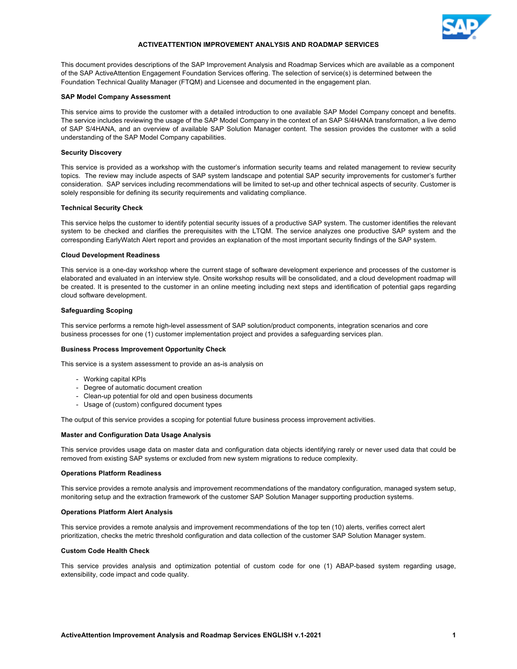

# **ACTIVEATTENTION IMPROVEMENT ANALYSIS AND ROADMAP SERVICES**

This document provides descriptions of the SAP Improvement Analysis and Roadmap Services which are available as a component of the SAP ActiveAttention Engagement Foundation Services offering. The selection of service(s) is determined between the Foundation Technical Quality Manager (FTQM) and Licensee and documented in the engagement plan.

## **SAP Model Company Assessment**

This service aims to provide the customer with a detailed introduction to one available SAP Model Company concept and benefits. The service includes reviewing the usage of the SAP Model Company in the context of an SAP S/4HANA transformation, a live demo of SAP S/4HANA, and an overview of available SAP Solution Manager content. The session provides the customer with a solid understanding of the SAP Model Company capabilities.

# **Security Discovery**

This service is provided as a workshop with the customer's information security teams and related management to review security topics. The review may include aspects of SAP system landscape and potential SAP security improvements for customer's further consideration. SAP services including recommendations will be limited to set-up and other technical aspects of security. Customer is solely responsible for defining its security requirements and validating compliance.

# **Technical Security Check**

This service helps the customer to identify potential security issues of a productive SAP system. The customer identifies the relevant system to be checked and clarifies the prerequisites with the LTQM. The service analyzes one productive SAP system and the corresponding EarlyWatch Alert report and provides an explanation of the most important security findings of the SAP system.

# **Cloud Development Readiness**

This service is a one-day workshop where the current stage of software development experience and processes of the customer is elaborated and evaluated in an interview style. Onsite workshop results will be consolidated, and a cloud development roadmap will be created. It is presented to the customer in an online meeting including next steps and identification of potential gaps regarding cloud software development.

# **Safeguarding Scoping**

This service performs a remote high-level assessment of SAP solution/product components, integration scenarios and core business processes for one (1) customer implementation project and provides a safeguarding services plan.

## **Business Process Improvement Opportunity Check**

This service is a system assessment to provide an as-is analysis on

- Working capital KPIs
- Degree of automatic document creation
- Clean-up potential for old and open business documents
- Usage of (custom) configured document types

The output of this service provides a scoping for potential future business process improvement activities.

### **Master and Configuration Data Usage Analysis**

This service provides usage data on master data and configuration data objects identifying rarely or never used data that could be removed from existing SAP systems or excluded from new system migrations to reduce complexity.

#### **Operations Platform Readiness**

This service provides a remote analysis and improvement recommendations of the mandatory configuration, managed system setup, monitoring setup and the extraction framework of the customer SAP Solution Manager supporting production systems.

#### **Operations Platform Alert Analysis**

This service provides a remote analysis and improvement recommendations of the top ten (10) alerts, verifies correct alert prioritization, checks the metric threshold configuration and data collection of the customer SAP Solution Manager system.

# **Custom Code Health Check**

This service provides analysis and optimization potential of custom code for one (1) ABAP-based system regarding usage, extensibility, code impact and code quality.